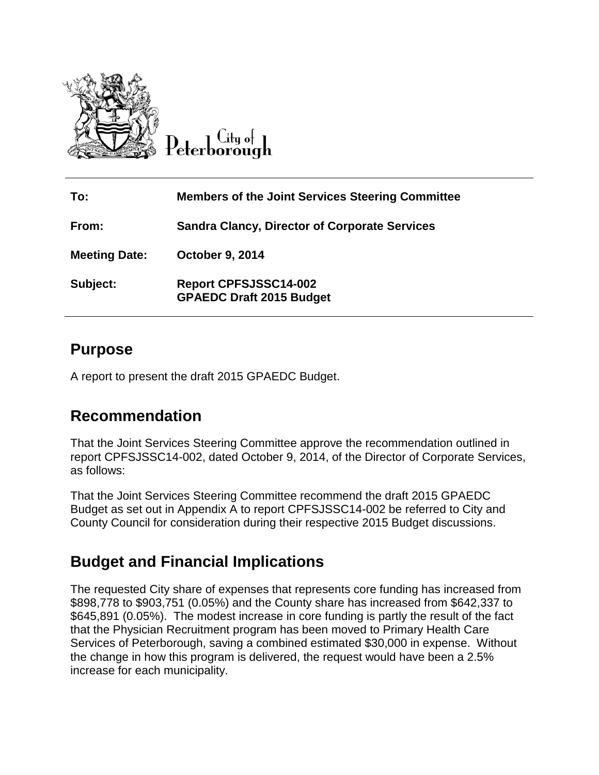

Citu o<del>l</del> Peterborough

| To:                  | <b>Members of the Joint Services Steering Committee</b>         |
|----------------------|-----------------------------------------------------------------|
| From:                | <b>Sandra Clancy, Director of Corporate Services</b>            |
| <b>Meeting Date:</b> | <b>October 9, 2014</b>                                          |
| Subject:             | <b>Report CPFSJSSC14-002</b><br><b>GPAEDC Draft 2015 Budget</b> |

## **Purpose**

A report to present the draft 2015 GPAEDC Budget.

# **Recommendation**

That the Joint Services Steering Committee approve the recommendation outlined in report CPFSJSSC14-002, dated October 9, 2014, of the Director of Corporate Services, as follows:

That the Joint Services Steering Committee recommend the draft 2015 GPAEDC Budget as set out in Appendix A to report CPFSJSSC14-002 be referred to City and County Council for consideration during their respective 2015 Budget discussions.

# **Budget and Financial Implications**

The requested City share of expenses that represents core funding has increased from \$898,778 to \$903,751 (0.05%) and the County share has increased from \$642,337 to \$645,891 (0.05%). The modest increase in core funding is partly the result of the fact that the Physician Recruitment program has been moved to Primary Health Care Services of Peterborough, saving a combined estimated \$30,000 in expense. Without the change in how this program is delivered, the request would have been a 2.5% increase for each municipality.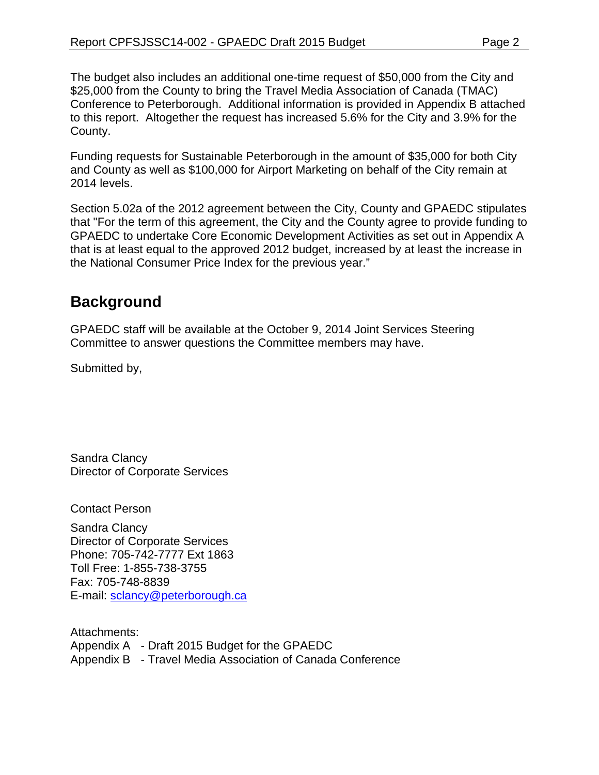The budget also includes an additional one-time request of \$50,000 from the City and \$25,000 from the County to bring the Travel Media Association of Canada (TMAC) Conference to Peterborough. Additional information is provided in Appendix B attached to this report. Altogether the request has increased 5.6% for the City and 3.9% for the County.

Funding requests for Sustainable Peterborough in the amount of \$35,000 for both City and County as well as \$100,000 for Airport Marketing on behalf of the City remain at 2014 levels.

Section 5.02a of the 2012 agreement between the City, County and GPAEDC stipulates that "For the term of this agreement, the City and the County agree to provide funding to GPAEDC to undertake Core Economic Development Activities as set out in Appendix A that is at least equal to the approved 2012 budget, increased by at least the increase in the National Consumer Price Index for the previous year."

# **Background**

GPAEDC staff will be available at the October 9, 2014 Joint Services Steering Committee to answer questions the Committee members may have.

Submitted by,

Sandra Clancy Director of Corporate Services

Contact Person

Sandra Clancy Director of Corporate Services Phone: 705-742-7777 Ext 1863 Toll Free: 1-855-738-3755 Fax: 705-748-8839 E-mail: [sclancy@peterborough.ca](mailto:sclancy@peterborough.ca)

Attachments: Appendix A - Draft 2015 Budget for the GPAEDC Appendix B - Travel Media Association of Canada Conference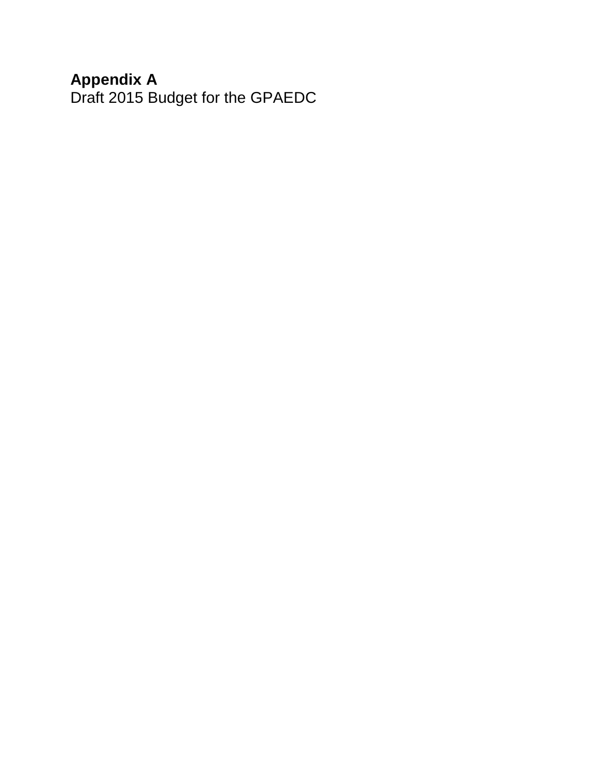## **Appendix A**

Draft 2015 Budget for the GPAEDC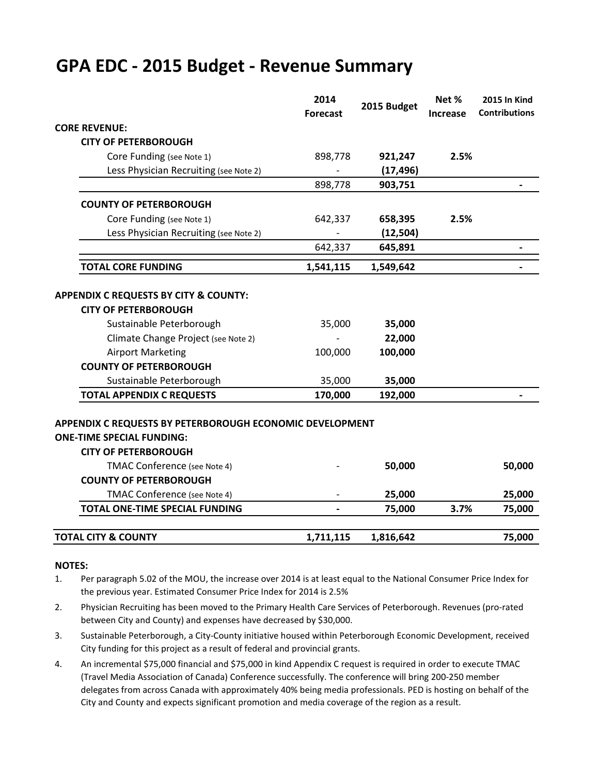# **GPA EDC - 2015 Budget - Revenue Summary**

|                                                                                              | 2014            | 2015 Budget | Net %    | <b>2015 In Kind</b>  |
|----------------------------------------------------------------------------------------------|-----------------|-------------|----------|----------------------|
|                                                                                              | <b>Forecast</b> |             | Increase | <b>Contributions</b> |
| <b>CORE REVENUE:</b>                                                                         |                 |             |          |                      |
| <b>CITY OF PETERBOROUGH</b>                                                                  |                 |             |          |                      |
| Core Funding (see Note 1)                                                                    | 898,778         | 921,247     | 2.5%     |                      |
| Less Physician Recruiting (see Note 2)                                                       |                 | (17, 496)   |          |                      |
|                                                                                              | 898,778         | 903,751     |          |                      |
| <b>COUNTY OF PETERBOROUGH</b>                                                                |                 |             |          |                      |
| Core Funding (see Note 1)                                                                    | 642,337         | 658,395     | 2.5%     |                      |
| Less Physician Recruiting (see Note 2)                                                       |                 | (12, 504)   |          |                      |
|                                                                                              | 642,337         | 645,891     |          |                      |
| <b>TOTAL CORE FUNDING</b>                                                                    | 1,541,115       | 1,549,642   |          |                      |
| <b>APPENDIX C REQUESTS BY CITY &amp; COUNTY:</b>                                             |                 |             |          |                      |
| <b>CITY OF PETERBOROUGH</b>                                                                  |                 |             |          |                      |
| Sustainable Peterborough                                                                     | 35,000          | 35,000      |          |                      |
| Climate Change Project (see Note 2)                                                          |                 | 22,000      |          |                      |
| <b>Airport Marketing</b>                                                                     | 100,000         | 100,000     |          |                      |
| <b>COUNTY OF PETERBOROUGH</b>                                                                |                 |             |          |                      |
| Sustainable Peterborough                                                                     | 35,000          | 35,000      |          |                      |
| <b>TOTAL APPENDIX C REQUESTS</b>                                                             | 170,000         | 192,000     |          |                      |
| APPENDIX C REQUESTS BY PETERBOROUGH ECONOMIC DEVELOPMENT<br><b>ONE-TIME SPECIAL FUNDING:</b> |                 |             |          |                      |
| <b>CITY OF PETERBOROUGH</b>                                                                  |                 |             |          |                      |
| TMAC Conference (see Note 4)                                                                 |                 | 50,000      |          | 50,000               |
| <b>COUNTY OF PETERBOROUGH</b>                                                                |                 |             |          |                      |
| TMAC Conference (see Note 4)                                                                 |                 | 25,000      |          | 25,000               |
| <b>TOTAL ONE-TIME SPECIAL FUNDING</b>                                                        |                 | 75,000      | 3.7%     | 75,000               |
| <b>TOTAL CITY &amp; COUNTY</b>                                                               | 1,711,115       | 1,816,642   |          | 75,000               |

#### **NOTES:**

- 1. Per paragraph 5.02 of the MOU, the increase over 2014 is at least equal to the National Consumer Price Index for the previous year. Estimated Consumer Price Index for 2014 is 2.5%
- 2. Physician Recruiting has been moved to the Primary Health Care Services of Peterborough. Revenues (pro-rated between City and County) and expenses have decreased by \$30,000.
- 3. Sustainable Peterborough, a City-County initiative housed within Peterborough Economic Development, received City funding for this project as a result of federal and provincial grants.
- 4. An incremental \$75,000 financial and \$75,000 in kind Appendix C request is required in order to execute TMAC (Travel Media Association of Canada) Conference successfully. The conference will bring 200-250 member delegates from across Canada with approximately 40% being media professionals. PED is hosting on behalf of the City and County and expects significant promotion and media coverage of the region as a result.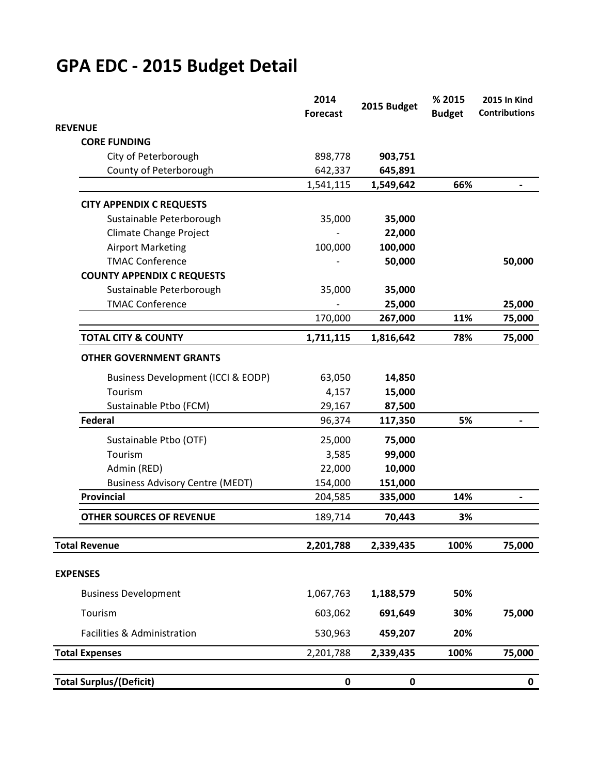# **GPA EDC - 2015 Budget Detail**

|                                        | 2014<br>2015 Budget<br><b>Forecast</b> |           | % 2015<br><b>Budget</b> | <b>2015 In Kind</b><br><b>Contributions</b> |
|----------------------------------------|----------------------------------------|-----------|-------------------------|---------------------------------------------|
| <b>REVENUE</b>                         |                                        |           |                         |                                             |
| <b>CORE FUNDING</b>                    |                                        |           |                         |                                             |
| City of Peterborough                   | 898,778                                | 903,751   |                         |                                             |
| County of Peterborough                 | 642,337                                | 645,891   |                         |                                             |
|                                        | 1,541,115                              | 1,549,642 | 66%                     |                                             |
| <b>CITY APPENDIX C REQUESTS</b>        |                                        |           |                         |                                             |
| Sustainable Peterborough               | 35,000                                 | 35,000    |                         |                                             |
| Climate Change Project                 |                                        | 22,000    |                         |                                             |
| <b>Airport Marketing</b>               | 100,000                                | 100,000   |                         |                                             |
| <b>TMAC Conference</b>                 |                                        | 50,000    |                         | 50,000                                      |
| <b>COUNTY APPENDIX C REQUESTS</b>      |                                        |           |                         |                                             |
| Sustainable Peterborough               | 35,000                                 | 35,000    |                         |                                             |
| <b>TMAC Conference</b>                 |                                        | 25,000    |                         | 25,000                                      |
|                                        | 170,000                                | 267,000   | 11%                     | 75,000                                      |
| <b>TOTAL CITY &amp; COUNTY</b>         | 1,711,115                              | 1,816,642 | 78%                     | 75,000                                      |
|                                        |                                        |           |                         |                                             |
| <b>OTHER GOVERNMENT GRANTS</b>         |                                        |           |                         |                                             |
| Business Development (ICCI & EODP)     | 63,050                                 | 14,850    |                         |                                             |
| Tourism                                | 4,157                                  | 15,000    |                         |                                             |
| Sustainable Ptbo (FCM)                 | 29,167                                 | 87,500    |                         |                                             |
| <b>Federal</b>                         | 96,374                                 | 117,350   | 5%                      |                                             |
| Sustainable Ptbo (OTF)                 | 25,000                                 | 75,000    |                         |                                             |
| Tourism                                | 3,585                                  | 99,000    |                         |                                             |
| Admin (RED)                            | 22,000                                 | 10,000    |                         |                                             |
| <b>Business Advisory Centre (MEDT)</b> | 154,000                                | 151,000   |                         |                                             |
| Provincial                             | 204,585                                | 335,000   | 14%                     |                                             |
| <b>OTHER SOURCES OF REVENUE</b>        | 189,714                                | 70,443    | 3%                      |                                             |
|                                        |                                        |           |                         |                                             |
| <b>Total Revenue</b>                   | 2,201,788                              | 2,339,435 | 100%                    | 75,000                                      |
| <b>EXPENSES</b>                        |                                        |           |                         |                                             |
|                                        |                                        |           |                         |                                             |
| <b>Business Development</b>            | 1,067,763                              | 1,188,579 | 50%                     |                                             |
| Tourism                                | 603,062                                | 691,649   | 30%                     | 75,000                                      |
| Facilities & Administration            | 530,963                                | 459,207   | 20%                     |                                             |
| <b>Total Expenses</b>                  | 2,201,788                              | 2,339,435 | 100%                    | 75,000                                      |
|                                        |                                        |           |                         |                                             |
| <b>Total Surplus/(Deficit)</b>         | $\pmb{0}$                              | 0         |                         | 0                                           |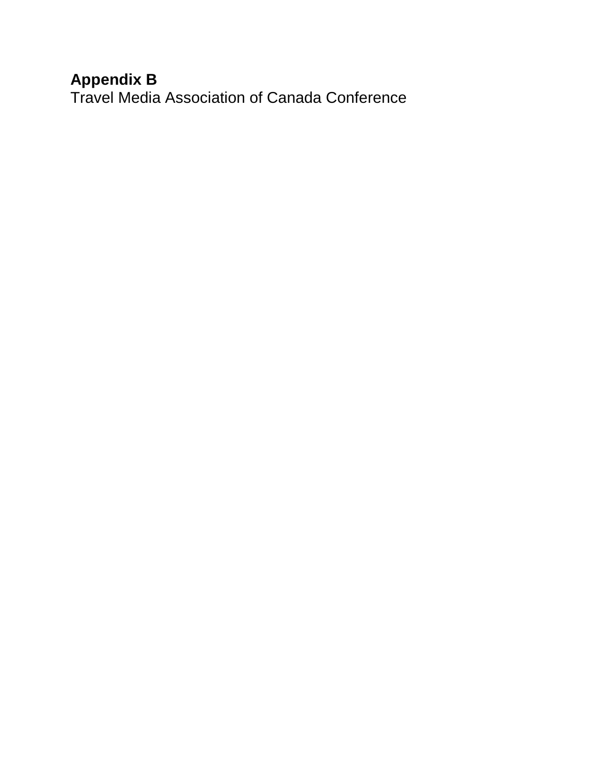# **Appendix B**

Travel Media Association of Canada Conference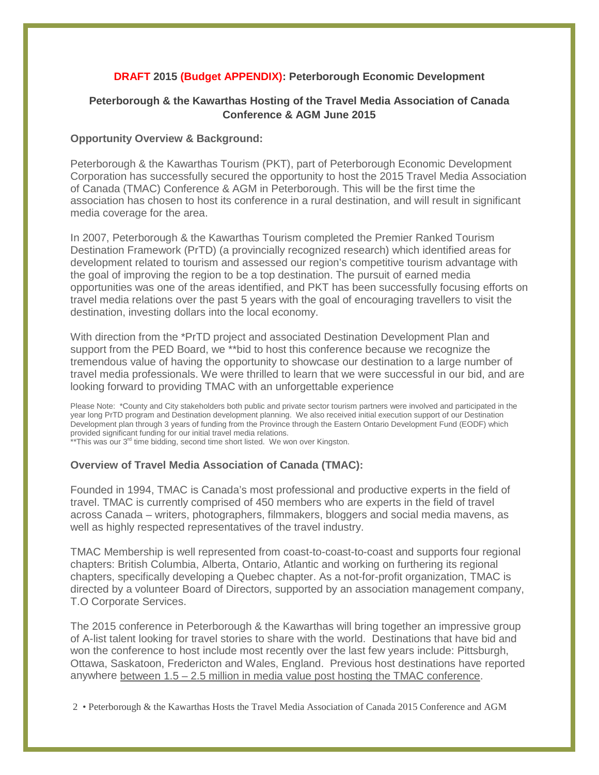#### **DRAFT 2015 (Budget APPENDIX): Peterborough Economic Development**

#### **Peterborough & the Kawarthas Hosting of the Travel Media Association of Canada Conference & AGM June 2015**

#### **Opportunity Overview & Background:**

Peterborough & the Kawarthas Tourism (PKT), part of Peterborough Economic Development Corporation has successfully secured the opportunity to host the 2015 Travel Media Association of Canada (TMAC) Conference & AGM in Peterborough. This will be the first time the association has chosen to host its conference in a rural destination, and will result in significant media coverage for the area.

In 2007, Peterborough & the Kawarthas Tourism completed the Premier Ranked Tourism Destination Framework (PrTD) (a provincially recognized research) which identified areas for development related to tourism and assessed our region's competitive tourism advantage with the goal of improving the region to be a top destination. The pursuit of earned media opportunities was one of the areas identified, and PKT has been successfully focusing efforts on travel media relations over the past 5 years with the goal of encouraging travellers to visit the destination, investing dollars into the local economy.

With direction from the \*PrTD project and associated Destination Development Plan and support from the PED Board, we \*\*bid to host this conference because we recognize the tremendous value of having the opportunity to showcase our destination to a large number of travel media professionals. We were thrilled to learn that we were successful in our bid, and are looking forward to providing TMAC with an unforgettable experience

Please Note: \*County and City stakeholders both public and private sector tourism partners were involved and participated in the year long PrTD program and Destination development planning. We also received initial execution support of our Destination Development plan through 3 years of funding from the Province through the Eastern Ontario Development Fund (EODF) which provided significant funding for our initial travel media relations.

\*\*This was our 3<sup>rd</sup> time bidding, second time short listed. We won over Kingston.

#### **Overview of Travel Media Association of Canada (TMAC):**

Founded in 1994, TMAC is Canada's most professional and productive experts in the field of travel. TMAC is currently comprised of 450 members who are experts in the field of travel across Canada – writers, photographers, filmmakers, bloggers and social media mavens, as well as highly respected representatives of the travel industry.

TMAC Membership is well represented from coast-to-coast-to-coast and supports four regional chapters: British Columbia, Alberta, Ontario, Atlantic and working on furthering its regional chapters, specifically developing a Quebec chapter. As a not-for-profit organization, TMAC is directed by a volunteer Board of Directors, supported by an association management company, T.O Corporate Services.

The 2015 conference in Peterborough & the Kawarthas will bring together an impressive group of A-list talent looking for travel stories to share with the world. Destinations that have bid and won the conference to host include most recently over the last few years include: Pittsburgh, Ottawa, Saskatoon, Fredericton and Wales, England. Previous host destinations have reported anywhere between  $1.5 - 2.5$  million in media value post hosting the TMAC conference.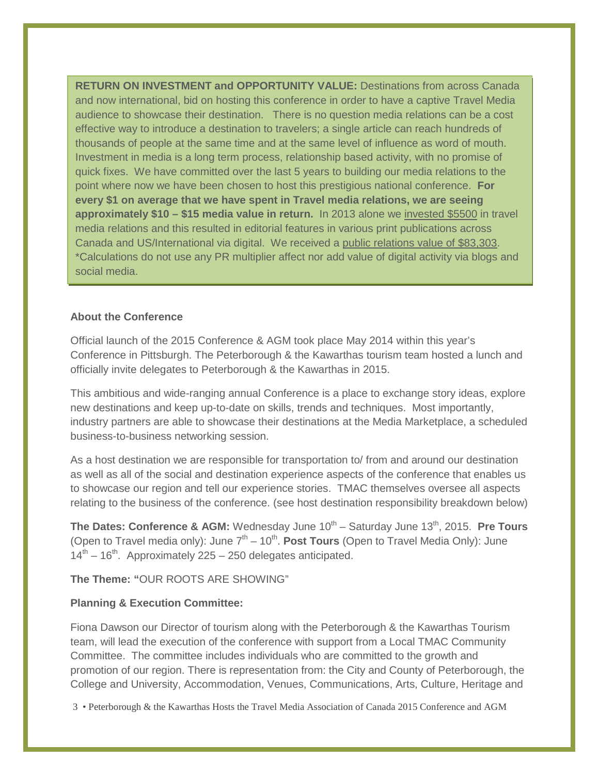**RETURN ON INVESTMENT and OPPORTUNITY VALUE:** Destinations from across Canada and now international, bid on hosting this conference in order to have a captive Travel Media audience to showcase their destination. There is no question media relations can be a cost effective way to introduce a destination to travelers; a single article can reach hundreds of thousands of people at the same time and at the same level of influence as word of mouth. Investment in media is a long term process, relationship based activity, with no promise of quick fixes. We have committed over the last 5 years to building our media relations to the point where now we have been chosen to host this prestigious national conference. **For every \$1 on average that we have spent in Travel media relations, we are seeing approximately \$10 – \$15 media value in return.** In 2013 alone we invested \$5500 in travel media relations and this resulted in editorial features in various print publications across Canada and US/International via digital. We received a public relations value of \$83,303. \*Calculations do not use any PR multiplier affect nor add value of digital activity via blogs and social media.

#### **About the Conference**

Official launch of the 2015 Conference & AGM took place May 2014 within this year's Conference in Pittsburgh. The Peterborough & the Kawarthas tourism team hosted a lunch and officially invite delegates to Peterborough & the Kawarthas in 2015.

This ambitious and wide-ranging annual Conference is a place to exchange story ideas, explore new destinations and keep up-to-date on skills, trends and techniques. Most importantly, industry partners are able to showcase their destinations at the Media Marketplace, a scheduled business-to-business networking session.

As a host destination we are responsible for transportation to/ from and around our destination as well as all of the social and destination experience aspects of the conference that enables us to showcase our region and tell our experience stories. TMAC themselves oversee all aspects relating to the business of the conference. (see host destination responsibility breakdown below)

**The Dates: Conference & AGM:** Wednesday June 10<sup>th</sup> – Saturday June 13<sup>th</sup>, 2015. **Pre Tours** (Open to Travel media only): June  $7<sup>th</sup> - 10<sup>th</sup>$ . **Post Tours** (Open to Travel Media Only): June  $14<sup>th</sup> - 16<sup>th</sup>$ . Approximately 225 – 250 delegates anticipated.

#### **The Theme: "**OUR ROOTS ARE SHOWING"

#### **Planning & Execution Committee:**

Fiona Dawson our Director of tourism along with the Peterborough & the Kawarthas Tourism team, will lead the execution of the conference with support from a Local TMAC Community Committee. The committee includes individuals who are committed to the growth and promotion of our region. There is representation from: the City and County of Peterborough, the College and University, Accommodation, Venues, Communications, Arts, Culture, Heritage and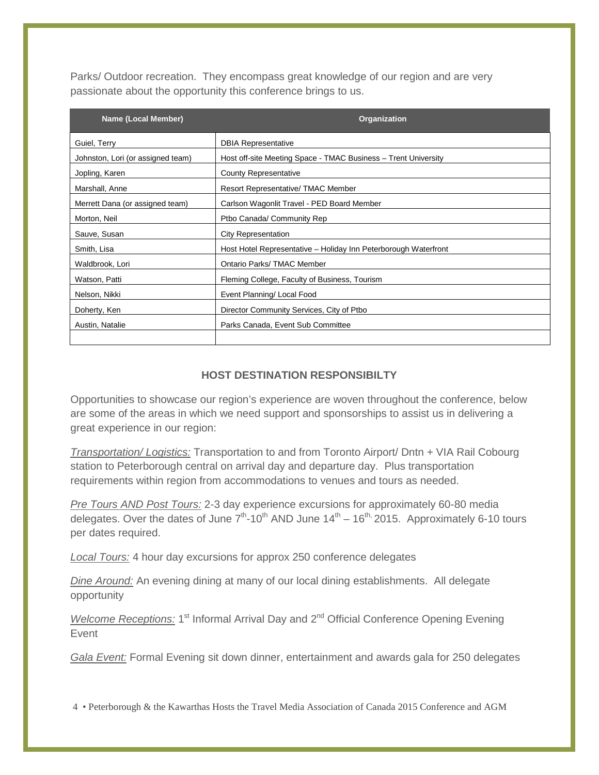Parks/ Outdoor recreation. They encompass great knowledge of our region and are very passionate about the opportunity this conference brings to us.

| <b>Name (Local Member)</b>        | Organization                                                    |
|-----------------------------------|-----------------------------------------------------------------|
| Guiel, Terry                      | <b>DBIA Representative</b>                                      |
| Johnston, Lori (or assigned team) | Host off-site Meeting Space - TMAC Business - Trent University  |
| Jopling, Karen                    | <b>County Representative</b>                                    |
| Marshall, Anne                    | Resort Representative/TMAC Member                               |
| Merrett Dana (or assigned team)   | Carlson Wagonlit Travel - PED Board Member                      |
| Morton, Neil                      | Ptbo Canada/ Community Rep                                      |
| Sauve, Susan                      | <b>City Representation</b>                                      |
| Smith, Lisa                       | Host Hotel Representative – Holiday Inn Peterborough Waterfront |
| Waldbrook, Lori                   | Ontario Parks/TMAC Member                                       |
| Watson, Patti                     | Fleming College, Faculty of Business, Tourism                   |
| Nelson, Nikki                     | Event Planning/ Local Food                                      |
| Doherty, Ken                      | Director Community Services, City of Ptbo                       |
| Austin, Natalie                   | Parks Canada, Event Sub Committee                               |
|                                   |                                                                 |

#### **HOST DESTINATION RESPONSIBILTY**

Opportunities to showcase our region's experience are woven throughout the conference, below are some of the areas in which we need support and sponsorships to assist us in delivering a great experience in our region:

*Transportation/ Logistics:* Transportation to and from Toronto Airport/ Dntn + VIA Rail Cobourg station to Peterborough central on arrival day and departure day. Plus transportation requirements within region from accommodations to venues and tours as needed.

*Pre Tours AND Post Tours:* 2-3 day experience excursions for approximately 60-80 media delegates. Over the dates of June  $7<sup>th</sup>$ -10<sup>th</sup> AND June  $14<sup>th</sup>$  – 16<sup>th,</sup> 2015. Approximately 6-10 tours per dates required.

*Local Tours:* 4 hour day excursions for approx 250 conference delegates

*Dine Around:* An evening dining at many of our local dining establishments. All delegate opportunity

*Welcome Receptions:* 1<sup>st</sup> Informal Arrival Day and 2<sup>nd</sup> Official Conference Opening Evening Event

*Gala Event:* Formal Evening sit down dinner, entertainment and awards gala for 250 delegates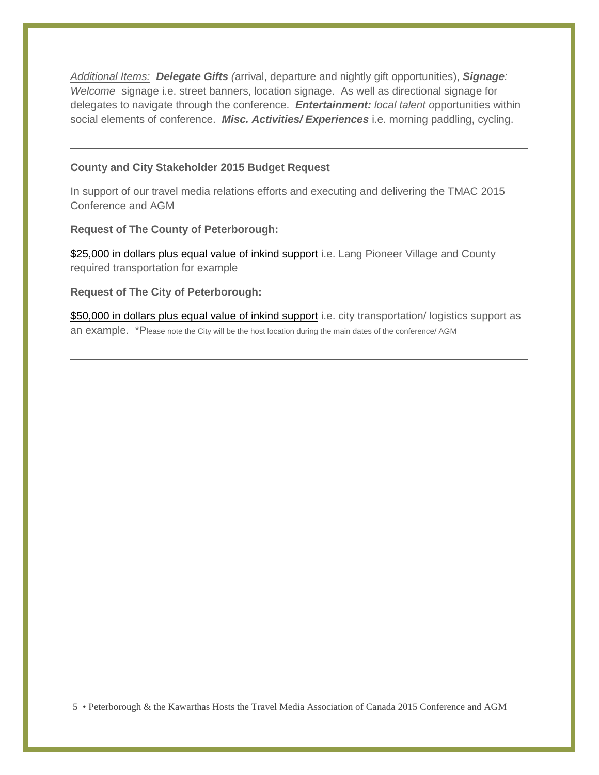*Additional Items: Delegate Gifts (*arrival, departure and nightly gift opportunities), *Signage: Welcome* signage i.e. street banners, location signage. As well as directional signage for delegates to navigate through the conference. *Entertainment: local talent o*pportunities within social elements of conference. *Misc. Activities/ Experiences* i.e. morning paddling, cycling.

#### **County and City Stakeholder 2015 Budget Request**

In support of our travel media relations efforts and executing and delivering the TMAC 2015 Conference and AGM

**Request of The County of Peterborough:**

\$25,000 in dollars plus equal value of inkind support i.e. Lang Pioneer Village and County required transportation for example

**Request of The City of Peterborough:**

\$50,000 in dollars plus equal value of inkind support i.e. city transportation/ logistics support as an example. \*Please note the City will be the host location during the main dates of the conference/ AGM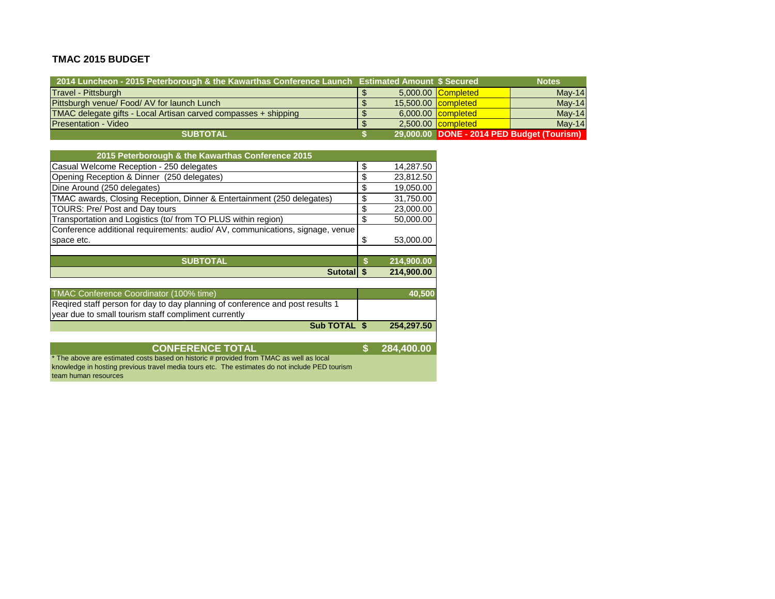#### **TMAC 2015 BUDGET**

| 2014 Luncheon - 2015 Peterborough & the Kawarthas Conference Launch Estimated Amount \$ Secured |  |                           | <b>Notes</b>                               |
|-------------------------------------------------------------------------------------------------|--|---------------------------|--------------------------------------------|
| Travel - Pittsburgh                                                                             |  | 5,000.00 Completed        | $May-14$                                   |
| Pittsburgh venue/ Food/ AV for launch Lunch                                                     |  | 15,500.00 completed       | $May-14$                                   |
| TMAC delegate gifts - Local Artisan carved compasses + shipping                                 |  | 6,000.00 <b>completed</b> | $Mav-14$                                   |
| <b>Presentation - Video</b>                                                                     |  | 2,500.00 completed        | $Mav-14$                                   |
| <b>SUBTOTAL</b>                                                                                 |  |                           | 29,000.00 DONE - 2014 PED Budget (Tourism) |

| 2015 Peterborough & the Kawarthas Conference 2015                             |    |            |
|-------------------------------------------------------------------------------|----|------------|
| Casual Welcome Reception - 250 delegates                                      | \$ | 14,287.50  |
| Opening Reception & Dinner (250 delegates)                                    | S  | 23,812.50  |
| Dine Around (250 delegates)                                                   | S  | 19,050.00  |
| TMAC awards, Closing Reception, Dinner & Entertainment (250 delegates)        | \$ | 31,750.00  |
| TOURS: Pre/ Post and Day tours                                                | \$ | 23,000.00  |
| Transportation and Logistics (to/ from TO PLUS within region)                 | ß. | 50,000.00  |
| Conference additional requirements: audio/ AV, communications, signage, venue |    |            |
| space etc.                                                                    | S  | 53,000.00  |
|                                                                               |    |            |
| <b>SUBTOTAL</b>                                                               |    | 214,900.00 |
| <b>Sutota</b>                                                                 |    | 214.900.00 |

| TMAC Conference Coordinator (100% time)                                       | 40.500     |
|-------------------------------------------------------------------------------|------------|
| Reqired staff person for day to day planning of conference and post results 1 |            |
| vear due to small tourism staff compliment currently                          |            |
| Sub TOTAL \$                                                                  | 254.297.50 |

#### **CONFERENCE TOTAL \$ 284,400.00**

\* The above are estimated costs based on historic # provided from TMAC as well as local knowledge in hosting previous travel media tours etc. The estimates do not include PED tourism team human resources